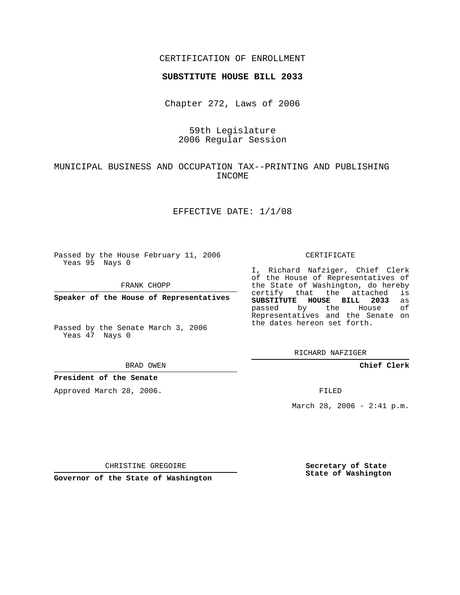### CERTIFICATION OF ENROLLMENT

### **SUBSTITUTE HOUSE BILL 2033**

Chapter 272, Laws of 2006

## 59th Legislature 2006 Regular Session

## MUNICIPAL BUSINESS AND OCCUPATION TAX--PRINTING AND PUBLISHING INCOME

### EFFECTIVE DATE: 1/1/08

Passed by the House February 11, 2006 Yeas 95 Nays 0

FRANK CHOPP

**Speaker of the House of Representatives**

Passed by the Senate March 3, 2006 Yeas 47 Nays 0

#### BRAD OWEN

### **President of the Senate**

Approved March 28, 2006.

#### CERTIFICATE

I, Richard Nafziger, Chief Clerk of the House of Representatives of the State of Washington, do hereby<br>certify that the attached is certify that the attached **SUBSTITUTE HOUSE BILL 2033** as passed by the House of Representatives and the Senate on the dates hereon set forth.

RICHARD NAFZIGER

**Chief Clerk**

FILED

March 28, 2006 - 2:41 p.m.

CHRISTINE GREGOIRE

**Governor of the State of Washington**

**Secretary of State State of Washington**